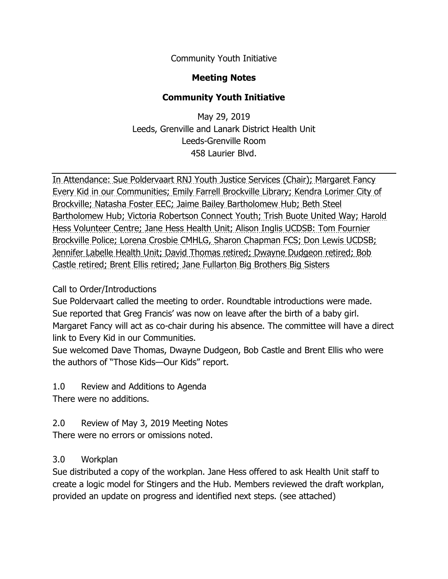Community Youth Initiative

## **Meeting Notes**

## **Community Youth Initiative**

May 29, 2019 Leeds, Grenville and Lanark District Health Unit Leeds-Grenville Room 458 Laurier Blvd.

In Attendance: Sue Poldervaart RNJ Youth Justice Services (Chair); Margaret Fancy Every Kid in our Communities; Emily Farrell Brockville Library; Kendra Lorimer City of Brockville; Natasha Foster EEC; Jaime Bailey Bartholomew Hub; Beth Steel Bartholomew Hub; Victoria Robertson Connect Youth; Trish Buote United Way; Harold Hess Volunteer Centre; Jane Hess Health Unit; Alison Inglis UCDSB: Tom Fournier Brockville Police; Lorena Crosbie CMHLG, Sharon Chapman FCS; Don Lewis UCDSB; Jennifer Labelle Health Unit; David Thomas retired; Dwayne Dudgeon retired; Bob Castle retired; Brent Ellis retired; Jane Fullarton Big Brothers Big Sisters

## Call to Order/Introductions

Sue Poldervaart called the meeting to order. Roundtable introductions were made. Sue reported that Greg Francis' was now on leave after the birth of a baby girl. Margaret Fancy will act as co-chair during his absence. The committee will have a direct link to Every Kid in our Communities.

Sue welcomed Dave Thomas, Dwayne Dudgeon, Bob Castle and Brent Ellis who were the authors of "Those Kids—Our Kids" report.

1.0 Review and Additions to Agenda There were no additions.

2.0 Review of May 3, 2019 Meeting Notes There were no errors or omissions noted.

## 3.0 Workplan

Sue distributed a copy of the workplan. Jane Hess offered to ask Health Unit staff to create a logic model for Stingers and the Hub. Members reviewed the draft workplan, provided an update on progress and identified next steps. (see attached)